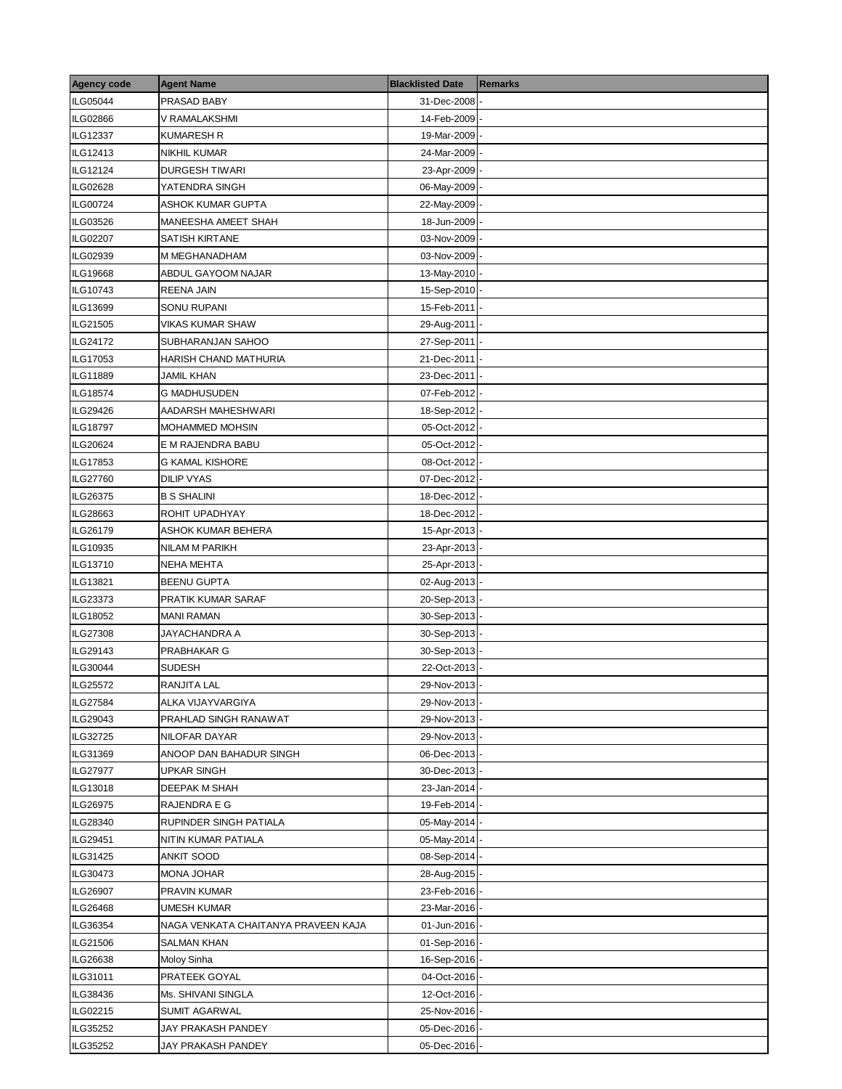| <b>Agency code</b> | <b>Agent Name</b>                   | <b>Blacklisted Date</b> | <b>Remarks</b> |
|--------------------|-------------------------------------|-------------------------|----------------|
| ILG05044           | PRASAD BABY                         | 31-Dec-2008             |                |
| ILG02866           | V RAMALAKSHMI                       | 14-Feb-2009             |                |
| ILG12337           | KUMARESH R                          | 19-Mar-2009             |                |
| ILG12413           | NIKHIL KUMAR                        | 24-Mar-2009             |                |
| ILG12124           | <b>DURGESH TIWARI</b>               | 23-Apr-2009             |                |
| ILG02628           | YATENDRA SINGH                      | 06-May-2009             |                |
| ILG00724           | ASHOK KUMAR GUPTA                   | 22-May-2009             |                |
| ILG03526           | MANEESHA AMEET SHAH                 | 18-Jun-2009             |                |
| ILG02207           | SATISH KIRTANE                      | 03-Nov-2009             |                |
| ILG02939           | M MEGHANADHAM                       | 03-Nov-2009             |                |
| ILG19668           | ABDUL GAYOOM NAJAR                  | 13-May-2010             |                |
| ILG10743           | REENA JAIN                          | 15-Sep-2010             |                |
| ILG13699           | SONU RUPANI                         | 15-Feb-2011             |                |
| ILG21505           | VIKAS KUMAR SHAW                    | 29-Aug-2011             |                |
| ILG24172           | SUBHARANJAN SAHOO                   | 27-Sep-2011             |                |
| ILG17053           | HARISH CHAND MATHURIA               | 21-Dec-2011             |                |
| ILG11889           | JAMIL KHAN                          | 23-Dec-2011             |                |
| ILG18574           | G MADHUSUDEN                        | 07-Feb-2012             |                |
| ILG29426           | AADARSH MAHESHWARI                  | 18-Sep-2012             |                |
| <b>ILG18797</b>    | MOHAMMED MOHSIN                     | 05-Oct-2012             |                |
| ILG20624           | E M RAJENDRA BABU                   | 05-Oct-2012             |                |
| ILG17853           | <b>G KAMAL KISHORE</b>              | 08-Oct-2012             |                |
| <b>ILG27760</b>    | DILIP VYAS                          | 07-Dec-2012             |                |
| ILG26375           | <b>B S SHALINI</b>                  | 18-Dec-2012             |                |
| ILG28663           | ROHIT UPADHYAY                      | 18-Dec-2012             |                |
| ILG26179           | ASHOK KUMAR BEHERA                  | 15-Apr-2013             |                |
| ILG10935           | NILAM M PARIKH                      | 23-Apr-2013             |                |
| ILG13710           | NEHA MEHTA                          | 25-Apr-2013             |                |
| ILG13821           | <b>BEENU GUPTA</b>                  | 02-Aug-2013             |                |
| ILG23373           | PRATIK KUMAR SARAF                  | 20-Sep-2013             |                |
| ILG18052           | <b>MANI RAMAN</b>                   | 30-Sep-2013             |                |
| ILG27308           | JAYACHANDRA A                       | 30-Sep-2013             |                |
| ILG29143           | PRABHAKAR G                         | 30-Sep-2013             |                |
| ILG30044           | SUDESH                              | 22-Oct-2013             |                |
| ILG25572           | RANJITA LAL                         | 29-Nov-2013 -           |                |
| <b>ILG27584</b>    | ALKA VIJAYVARGIYA                   | 29-Nov-2013-            |                |
| ILG29043           | PRAHLAD SINGH RANAWAT               | 29-Nov-2013             |                |
| ILG32725           | NILOFAR DAYAR                       | 29-Nov-2013             |                |
| ILG31369           | ANOOP DAN BAHADUR SINGH             | 06-Dec-2013             |                |
| ILG27977           | UPKAR SINGH                         | 30-Dec-2013             |                |
| ILG13018           | DEEPAK M SHAH                       | 23-Jan-2014             |                |
| ILG26975           | RAJENDRA E G                        | 19-Feb-2014             |                |
| ILG28340           | RUPINDER SINGH PATIALA              | 05-May-2014             |                |
| ILG29451           | NITIN KUMAR PATIALA                 | 05-May-2014             |                |
| ILG31425           | ANKIT SOOD                          | 08-Sep-2014             |                |
| ILG30473           | MONA JOHAR                          | 28-Aug-2015             |                |
| <b>ILG26907</b>    | PRAVIN KUMAR                        | 23-Feb-2016             |                |
| ILG26468           | UMESH KUMAR                         | 23-Mar-2016             |                |
| ILG36354           | NAGA VENKATA CHAITANYA PRAVEEN KAJA | 01-Jun-2016             |                |
| ILG21506           | SALMAN KHAN                         | 01-Sep-2016             |                |
| ILG26638           | Moloy Sinha                         | 16-Sep-2016             |                |
| ILG31011           | PRATEEK GOYAL                       | 04-Oct-2016             |                |
| ILG38436           | Ms. SHIVANI SINGLA                  | 12-Oct-2016             |                |
| ILG02215           | SUMIT AGARWAL                       | 25-Nov-2016             |                |
| ILG35252           | JAY PRAKASH PANDEY                  | 05-Dec-2016             |                |
| ILG35252           | JAY PRAKASH PANDEY                  | 05-Dec-2016             |                |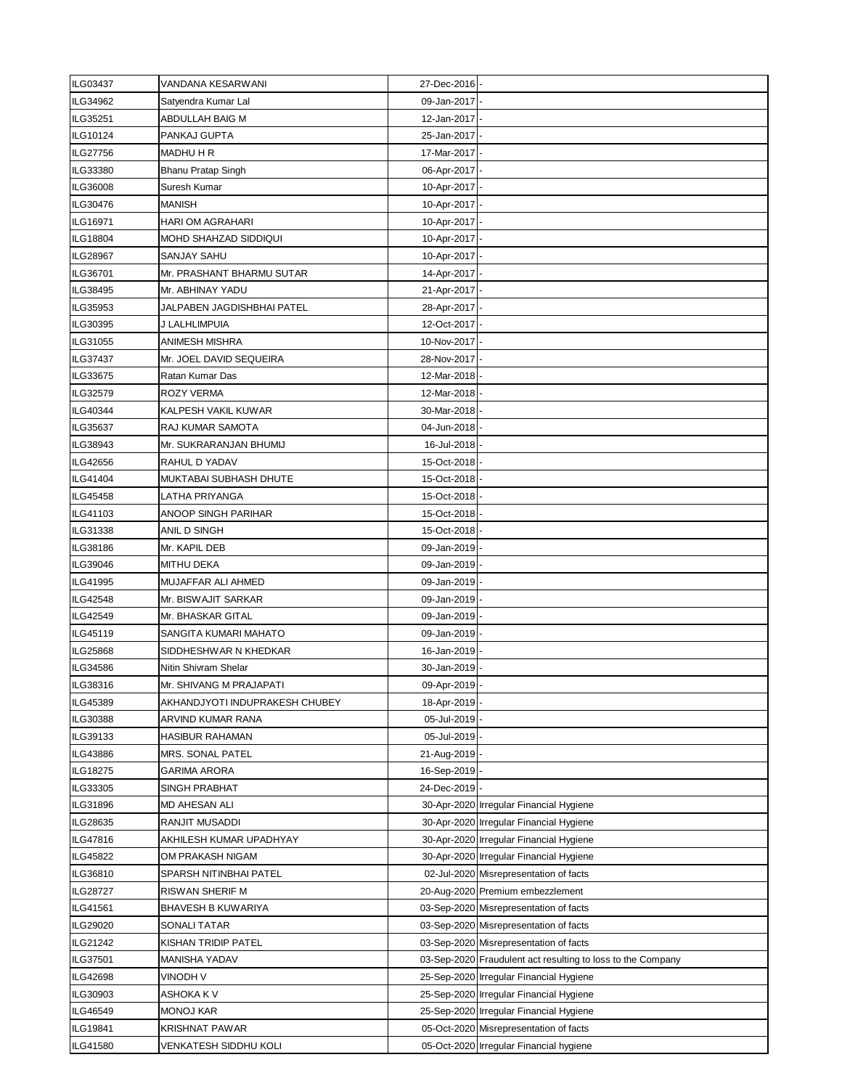| ILG03437        | VANDANA KESARWANI                               | 27-Dec-2016                  |                                                             |
|-----------------|-------------------------------------------------|------------------------------|-------------------------------------------------------------|
| ILG34962        | Satyendra Kumar Lal                             | 09-Jan-2017                  |                                                             |
| ILG35251        | ABDULLAH BAIG M                                 | 12-Jan-2017                  |                                                             |
| ILG10124        | PANKAJ GUPTA                                    | 25-Jan-2017                  |                                                             |
| ILG27756        | <b>MADHU H R</b>                                | 17-Mar-2017                  |                                                             |
| ILG33380        | Bhanu Pratap Singh                              | 06-Apr-2017                  |                                                             |
| ILG36008        | Suresh Kumar                                    | 10-Apr-2017                  |                                                             |
| ILG30476        | MANISH                                          | 10-Apr-2017                  |                                                             |
| ILG16971        | HARI OM AGRAHARI                                | 10-Apr-2017                  |                                                             |
| <b>ILG18804</b> | MOHD SHAHZAD SIDDIQUI                           | 10-Apr-2017                  |                                                             |
| <b>ILG28967</b> | SANJAY SAHU                                     | 10-Apr-2017                  |                                                             |
| ILG36701        | Mr. PRASHANT BHARMU SUTAR                       | 14-Apr-2017                  |                                                             |
| ILG38495        | Mr. ABHINAY YADU                                | 21-Apr-2017                  |                                                             |
| ILG35953        | JALPABEN JAGDISHBHAI PATEL                      | 28-Apr-2017                  |                                                             |
| ILG30395        | J LALHLIMPUIA                                   | 12-Oct-2017                  |                                                             |
| ILG31055        | ANIMESH MISHRA                                  | 10-Nov-2017                  |                                                             |
| ILG37437        | Mr. JOEL DAVID SEQUEIRA                         | 28-Nov-2017                  |                                                             |
| ILG33675        | Ratan Kumar Das                                 | 12-Mar-2018                  |                                                             |
| ILG32579        | ROZY VERMA                                      | 12-Mar-2018                  |                                                             |
| ILG40344        | KALPESH VAKIL KUWAR                             | 30-Mar-2018                  |                                                             |
| ILG35637        | RAJ KUMAR SAMOTA                                | 04-Jun-2018                  |                                                             |
| ILG38943        | Mr. SUKRARANJAN BHUMIJ                          | 16-Jul-2018                  |                                                             |
| ILG42656        | RAHUL D YADAV                                   | 15-Oct-2018                  |                                                             |
| ILG41404        | MUKTABAI SUBHASH DHUTE                          | 15-Oct-2018                  |                                                             |
|                 |                                                 |                              |                                                             |
| ILG45458        | LATHA PRIYANGA                                  | 15-Oct-2018                  |                                                             |
| ILG41103        | ANOOP SINGH PARIHAR                             | 15-Oct-2018                  |                                                             |
| ILG31338        | ANIL D SINGH                                    | 15-Oct-2018                  |                                                             |
| ILG38186        | Mr. KAPIL DEB                                   | 09-Jan-2019                  |                                                             |
| ILG39046        | <b>MITHU DEKA</b>                               | 09-Jan-2019                  |                                                             |
| ILG41995        | MUJAFFAR ALI AHMED                              | 09-Jan-2019                  |                                                             |
| <b>ILG42548</b> | Mr. BISWAJIT SARKAR                             | 09-Jan-2019                  |                                                             |
| ILG42549        | Mr. BHASKAR GITAL                               | 09-Jan-2019                  |                                                             |
| ILG45119        | SANGITA KUMARI MAHATO                           | 09-Jan-2019                  |                                                             |
| <b>ILG25868</b> | SIDDHESHWAR N KHEDKAR                           | 16-Jan-2019                  |                                                             |
| ILG34586        | Nitin Shivram Shelar<br>Mr. SHIVANG M PRAJAPATI | 30-Jan-2019<br>09-Apr-2019 - |                                                             |
| ILG38316        |                                                 |                              |                                                             |
| ILG45389        | AKHANDJYOTI INDUPRAKESH CHUBEY                  | 18-Apr-2019 -                |                                                             |
| ILG30388        | ARVIND KUMAR RANA                               | 05-Jul-2019                  |                                                             |
| ILG39133        | HASIBUR RAHAMAN                                 | 05-Jul-2019                  |                                                             |
| ILG43886        | MRS. SONAL PATEL                                | 21-Aug-2019                  |                                                             |
| ILG18275        | GARIMA ARORA                                    | 16-Sep-2019                  |                                                             |
| ILG33305        | SINGH PRABHAT                                   | 24-Dec-2019 -                |                                                             |
| ILG31896        | MD AHESAN ALI                                   |                              | 30-Apr-2020 Irregular Financial Hygiene                     |
| ILG28635        | RANJIT MUSADDI                                  |                              | 30-Apr-2020 Irregular Financial Hygiene                     |
| ILG47816        | AKHILESH KUMAR UPADHYAY                         |                              | 30-Apr-2020 Irregular Financial Hygiene                     |
| <b>ILG45822</b> | OM PRAKASH NIGAM                                |                              | 30-Apr-2020 Irregular Financial Hygiene                     |
| ILG36810        | SPARSH NITINBHAI PATEL                          |                              | 02-Jul-2020 Misrepresentation of facts                      |
| <b>ILG28727</b> | RISWAN SHERIF M                                 |                              | 20-Aug-2020 Premium embezzlement                            |
| ILG41561        | BHAVESH B KUWARIYA                              |                              | 03-Sep-2020 Misrepresentation of facts                      |
| ILG29020        | SONALI TATAR                                    |                              | 03-Sep-2020 Misrepresentation of facts                      |
| ILG21242        | KISHAN TRIDIP PATEL                             |                              | 03-Sep-2020 Misrepresentation of facts                      |
| ILG37501        | MANISHA YADAV                                   |                              | 03-Sep-2020 Fraudulent act resulting to loss to the Company |
| <b>ILG42698</b> | VINODH V                                        |                              | 25-Sep-2020 Irregular Financial Hygiene                     |
| ILG30903        | ASHOKA K V                                      |                              | 25-Sep-2020 Irregular Financial Hygiene                     |
| ILG46549        | MONOJ KAR                                       |                              | 25-Sep-2020 Irregular Financial Hygiene                     |
| <b>ILG19841</b> | KRISHNAT PAWAR                                  |                              | 05-Oct-2020 Misrepresentation of facts                      |
| ILG41580        | VENKATESH SIDDHU KOLI                           |                              | 05-Oct-2020 Irregular Financial hygiene                     |